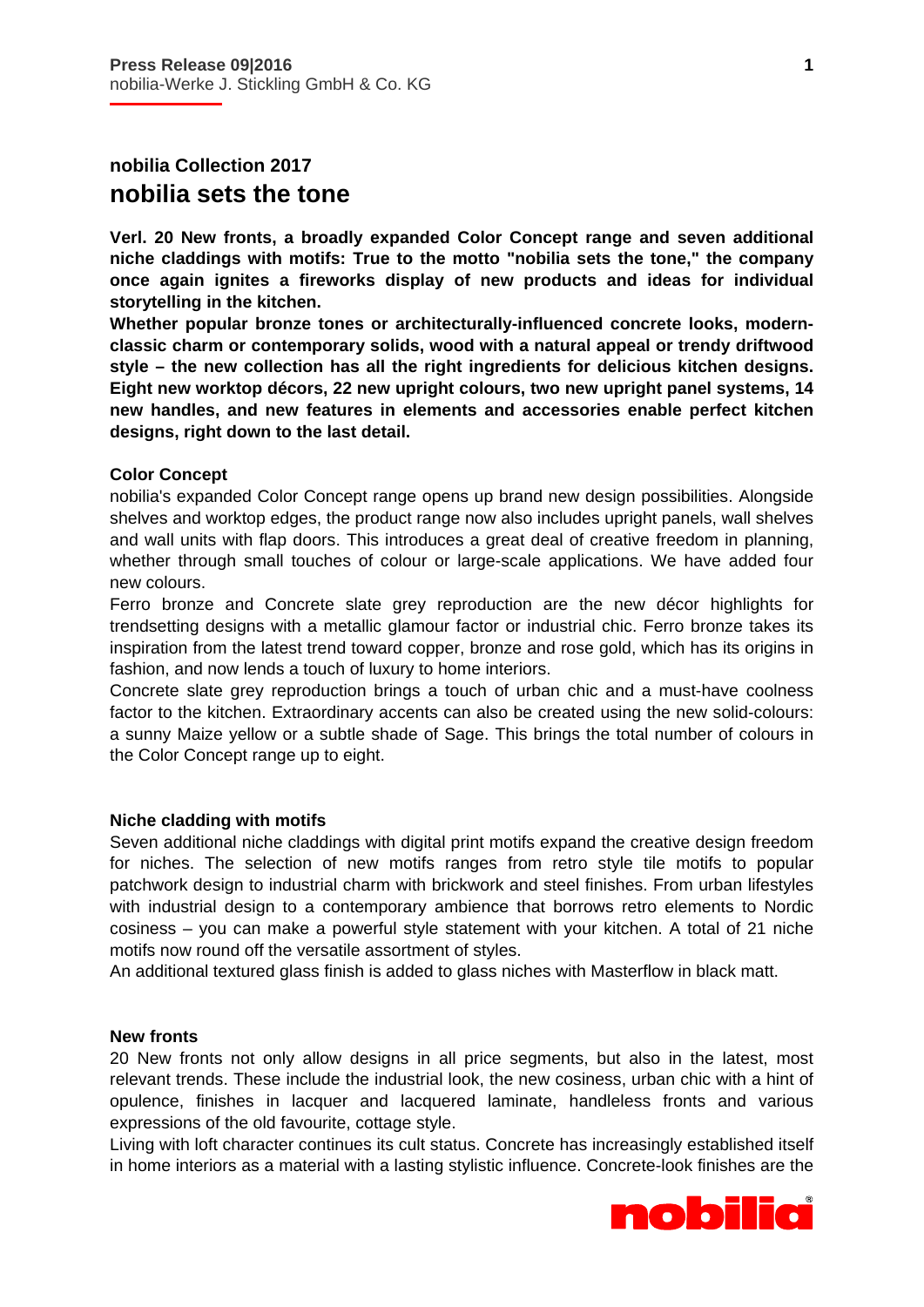# **nobilia Collection 2017 nobilia sets the tone**

i

**Verl. 20 New fronts, a broadly expanded Color Concept range and seven additional niche claddings with motifs: True to the motto "nobilia sets the tone," the company once again ignites a fireworks display of new products and ideas for individual storytelling in the kitchen.** 

**Whether popular bronze tones or architecturally-influenced concrete looks, modernclassic charm or contemporary solids, wood with a natural appeal or trendy driftwood style – the new collection has all the right ingredients for delicious kitchen designs. Eight new worktop décors, 22 new upright colours, two new upright panel systems, 14 new handles, and new features in elements and accessories enable perfect kitchen designs, right down to the last detail.** 

### **Color Concept**

nobilia's expanded Color Concept range opens up brand new design possibilities. Alongside shelves and worktop edges, the product range now also includes upright panels, wall shelves and wall units with flap doors. This introduces a great deal of creative freedom in planning, whether through small touches of colour or large-scale applications. We have added four new colours.

Ferro bronze and Concrete slate grey reproduction are the new décor highlights for trendsetting designs with a metallic glamour factor or industrial chic. Ferro bronze takes its inspiration from the latest trend toward copper, bronze and rose gold, which has its origins in fashion, and now lends a touch of luxury to home interiors.

Concrete slate grey reproduction brings a touch of urban chic and a must-have coolness factor to the kitchen. Extraordinary accents can also be created using the new solid-colours: a sunny Maize yellow or a subtle shade of Sage. This brings the total number of colours in the Color Concept range up to eight.

#### **Niche cladding with motifs**

Seven additional niche claddings with digital print motifs expand the creative design freedom for niches. The selection of new motifs ranges from retro style tile motifs to popular patchwork design to industrial charm with brickwork and steel finishes. From urban lifestyles with industrial design to a contemporary ambience that borrows retro elements to Nordic cosiness – you can make a powerful style statement with your kitchen. A total of 21 niche motifs now round off the versatile assortment of styles.

An additional textured glass finish is added to glass niches with Masterflow in black matt.

#### **New fronts**

20 New fronts not only allow designs in all price segments, but also in the latest, most relevant trends. These include the industrial look, the new cosiness, urban chic with a hint of opulence, finishes in lacquer and lacquered laminate, handleless fronts and various expressions of the old favourite, cottage style.

Living with loft character continues its cult status. Concrete has increasingly established itself in home interiors as a material with a lasting stylistic influence. Concrete-look finishes are the

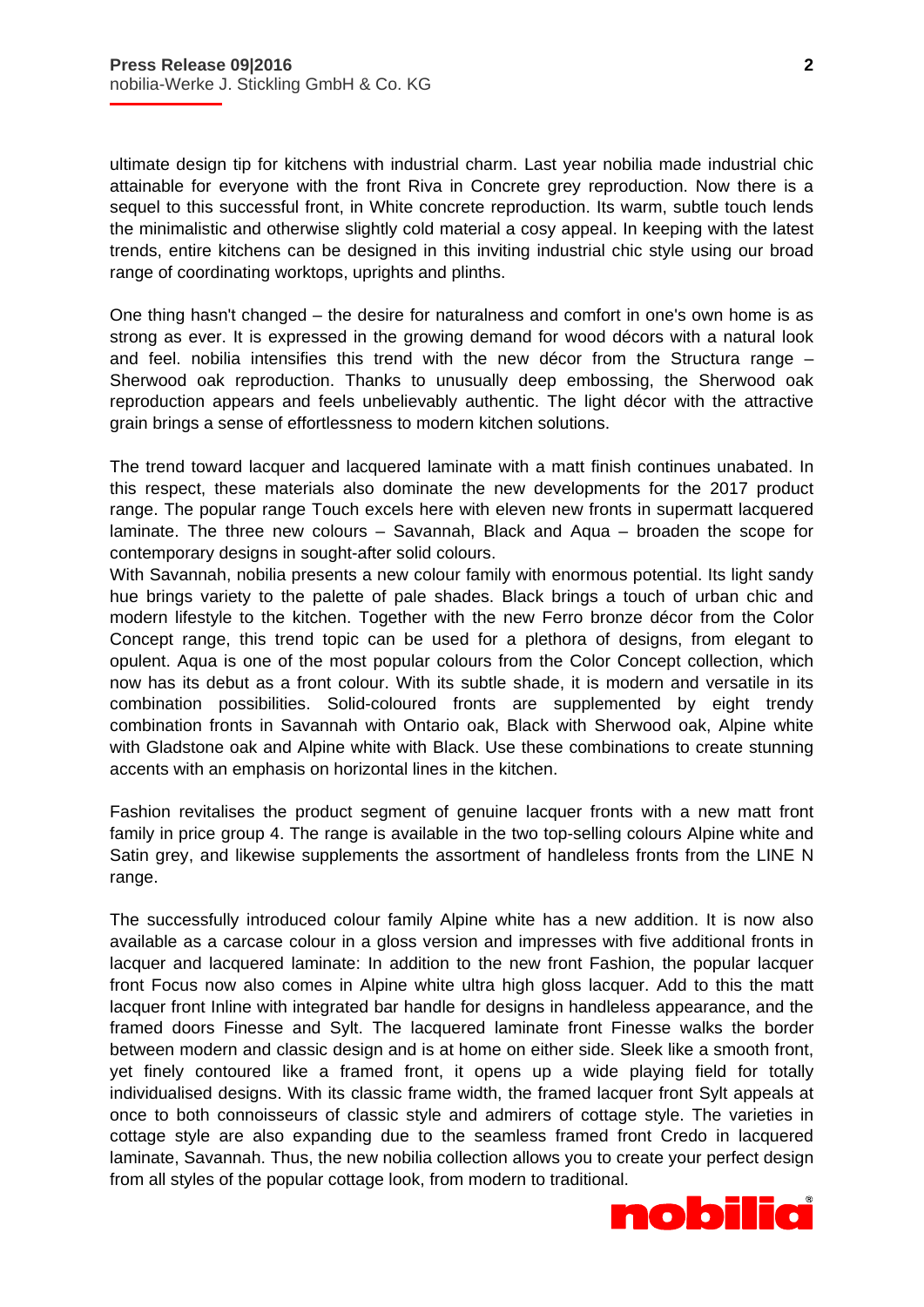i

ultimate design tip for kitchens with industrial charm. Last year nobilia made industrial chic attainable for everyone with the front Riva in Concrete grey reproduction. Now there is a sequel to this successful front, in White concrete reproduction. Its warm, subtle touch lends the minimalistic and otherwise slightly cold material a cosy appeal. In keeping with the latest trends, entire kitchens can be designed in this inviting industrial chic style using our broad range of coordinating worktops, uprights and plinths.

One thing hasn't changed – the desire for naturalness and comfort in one's own home is as strong as ever. It is expressed in the growing demand for wood décors with a natural look and feel. nobilia intensifies this trend with the new décor from the Structura range – Sherwood oak reproduction. Thanks to unusually deep embossing, the Sherwood oak reproduction appears and feels unbelievably authentic. The light décor with the attractive grain brings a sense of effortlessness to modern kitchen solutions.

The trend toward lacquer and lacquered laminate with a matt finish continues unabated. In this respect, these materials also dominate the new developments for the 2017 product range. The popular range Touch excels here with eleven new fronts in supermatt lacquered laminate. The three new colours – Savannah, Black and Aqua – broaden the scope for contemporary designs in sought-after solid colours.

With Savannah, nobilia presents a new colour family with enormous potential. Its light sandy hue brings variety to the palette of pale shades. Black brings a touch of urban chic and modern lifestyle to the kitchen. Together with the new Ferro bronze décor from the Color Concept range, this trend topic can be used for a plethora of designs, from elegant to opulent. Aqua is one of the most popular colours from the Color Concept collection, which now has its debut as a front colour. With its subtle shade, it is modern and versatile in its combination possibilities. Solid-coloured fronts are supplemented by eight trendy combination fronts in Savannah with Ontario oak, Black with Sherwood oak, Alpine white with Gladstone oak and Alpine white with Black. Use these combinations to create stunning accents with an emphasis on horizontal lines in the kitchen.

Fashion revitalises the product segment of genuine lacquer fronts with a new matt front family in price group 4. The range is available in the two top-selling colours Alpine white and Satin grey, and likewise supplements the assortment of handleless fronts from the LINE N range.

The successfully introduced colour family Alpine white has a new addition. It is now also available as a carcase colour in a gloss version and impresses with five additional fronts in lacquer and lacquered laminate: In addition to the new front Fashion, the popular lacquer front Focus now also comes in Alpine white ultra high gloss lacquer. Add to this the matt lacquer front Inline with integrated bar handle for designs in handleless appearance, and the framed doors Finesse and Sylt. The lacquered laminate front Finesse walks the border between modern and classic design and is at home on either side. Sleek like a smooth front, yet finely contoured like a framed front, it opens up a wide playing field for totally individualised designs. With its classic frame width, the framed lacquer front Sylt appeals at once to both connoisseurs of classic style and admirers of cottage style. The varieties in cottage style are also expanding due to the seamless framed front Credo in lacquered laminate, Savannah. Thus, the new nobilia collection allows you to create your perfect design from all styles of the popular cottage look, from modern to traditional.